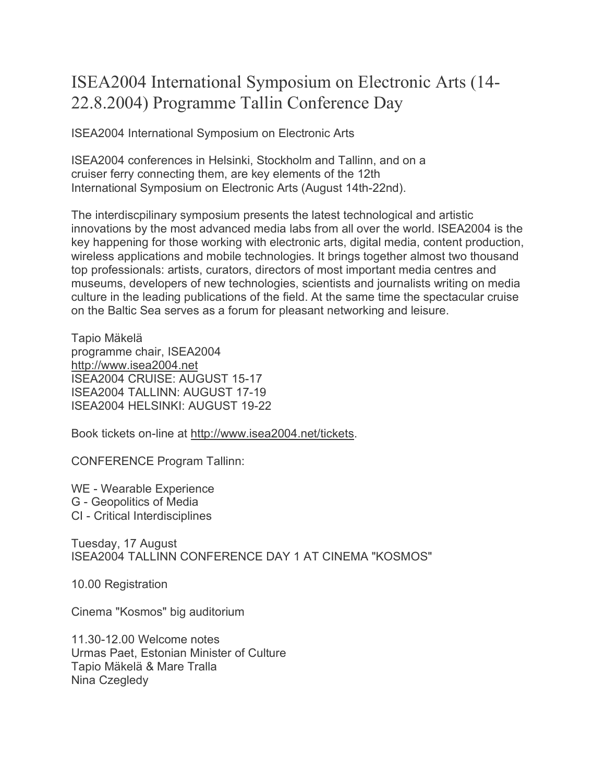## ISEA2004 International Symposium on Electronic Arts (14- 22.8.2004) Programme Tallin Conference Day

ISEA2004 International Symposium on Electronic Arts

ISEA2004 conferences in Helsinki, Stockholm and Tallinn, and on a cruiser ferry connecting them, are key elements of the 12th International Symposium on Electronic Arts (August 14th-22nd).

The interdiscpilinary symposium presents the latest technological and artistic innovations by the most advanced media labs from all over the world. ISEA2004 is the key happening for those working with electronic arts, digital media, content production, wireless applications and mobile technologies. It brings together almost two thousand top professionals: artists, curators, directors of most important media centres and museums, developers of new technologies, scientists and journalists writing on media culture in the leading publications of the field. At the same time the spectacular cruise on the Baltic Sea serves as a forum for pleasant networking and leisure.

Tapio Mäkelä programme chair, ISEA2004 http://www.isea2004.net ISEA2004 CRUISE: AUGUST 15-17 ISEA2004 TALLINN: AUGUST 17-19 ISEA2004 HELSINKI: AUGUST 19-22

Book tickets on-line at http://www.isea2004.net/tickets.

CONFERENCE Program Tallinn:

WE - Wearable Experience G - Geopolitics of Media CI - Critical Interdisciplines

Tuesday, 17 August ISEA2004 TALLINN CONFERENCE DAY 1 AT CINEMA "KOSMOS"

10.00 Registration

Cinema "Kosmos" big auditorium

11.30-12.00 Welcome notes Urmas Paet, Estonian Minister of Culture Tapio Mäkelä & Mare Tralla Nina Czegledy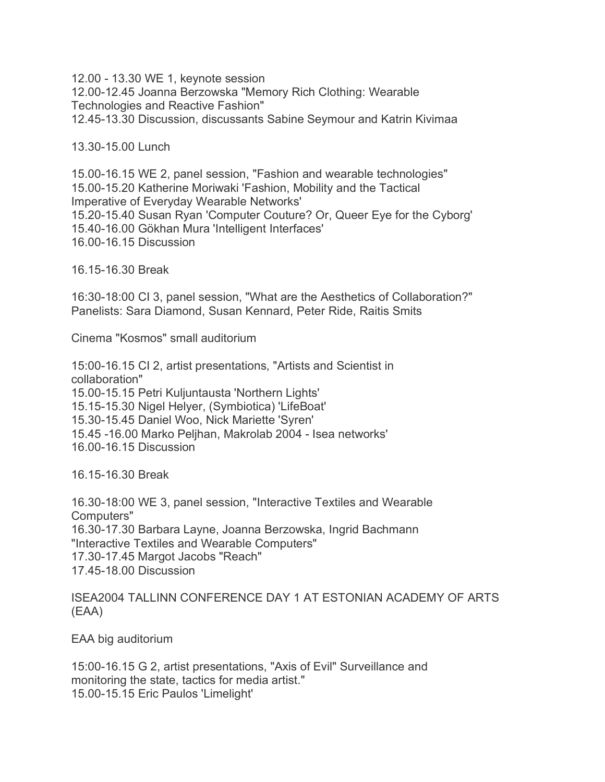12.00 - 13.30 WE 1, keynote session 12.00-12.45 Joanna Berzowska "Memory Rich Clothing: Wearable Technologies and Reactive Fashion" 12.45-13.30 Discussion, discussants Sabine Seymour and Katrin Kivimaa

13.30-15.00 Lunch

15.00-16.15 WE 2, panel session, "Fashion and wearable technologies" 15.00-15.20 Katherine Moriwaki 'Fashion, Mobility and the Tactical Imperative of Everyday Wearable Networks' 15.20-15.40 Susan Ryan 'Computer Couture? Or, Queer Eye for the Cyborg' 15.40-16.00 Gökhan Mura 'Intelligent Interfaces' 16.00-16.15 Discussion

16.15-16.30 Break

16:30-18:00 CI 3, panel session, "What are the Aesthetics of Collaboration?" Panelists: Sara Diamond, Susan Kennard, Peter Ride, Raitis Smits

Cinema "Kosmos" small auditorium

15:00-16.15 CI 2, artist presentations, "Artists and Scientist in collaboration" 15.00-15.15 Petri Kuljuntausta 'Northern Lights' 15.15-15.30 Nigel Helyer, (Symbiotica) 'LifeBoat' 15.30-15.45 Daniel Woo, Nick Mariette 'Syren' 15.45 -16.00 Marko Peljhan, Makrolab 2004 - Isea networks' 16.00-16.15 Discussion

16.15-16.30 Break

16.30-18:00 WE 3, panel session, "Interactive Textiles and Wearable Computers" 16.30-17.30 Barbara Layne, Joanna Berzowska, Ingrid Bachmann "Interactive Textiles and Wearable Computers" 17.30-17.45 Margot Jacobs "Reach" 17.45-18.00 Discussion

ISEA2004 TALLINN CONFERENCE DAY 1 AT ESTONIAN ACADEMY OF ARTS (EAA)

EAA big auditorium

15:00-16.15 G 2, artist presentations, "Axis of Evil" Surveillance and monitoring the state, tactics for media artist." 15.00-15.15 Eric Paulos 'Limelight'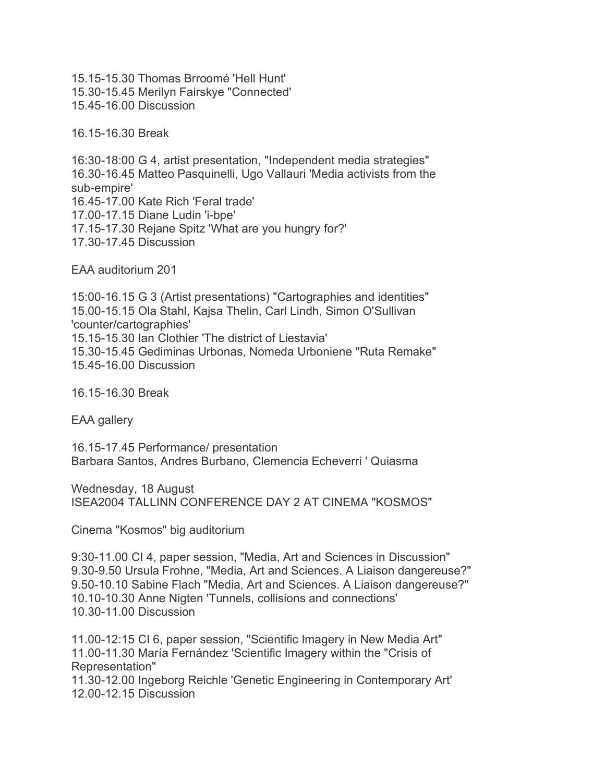15.15-15.30 Thomas Brroomé 'Hell Hunt' 15.30-15.45 Merilyn Fairskye "Connected' 15.45-16.00 Discussion

16.15-16.30 Break

16:30-18:00 G 4, artist presentation, "Independent media strategies" 16.30-16.45 Matteo Pasquinelli, Ugo Vallauri 'Media activists from the sub-empire' 16.45-17.00 Kate Rich 'Feral trade' 17.00-17.15 Diane Ludin 'i-bpe' 17.15-17.30 Rejane Spitz 'What are you hungry for?' 17.30-17.45 Discussion

EAA auditorium 201

15:00-16.15 G 3 (Artist presentations) "Cartographies and identities" 15.00-15.15 Ola Stahl, Kajsa Thelin, Carl Lindh, Simon O'Sullivan 'counter/cartographies' 15.15-15.30 Ian Clothier 'The district of Liestavia' 15.30-15.45 Gediminas Urbonas, Nomeda Urboniene "Ruta Remake" 15.45-16.00 Discussion

16.15-16.30 Break

EAA gallery

16.15-17.45 Performance/ presentation Barbara Santos, Andres Burbano, Clemencia Echeverri ' Quiasma

Wednesday, 18 August ISEA2004 TALLINN CONFERENCE DAY 2 AT CINEMA "KOSMOS"

Cinema "Kosmos" big auditorium

9:30-11.00 CI 4, paper session, "Media, Art and Sciences in Discussion" 9.30-9.50 Ursula Frohne, "Media, Art and Sciences. A Liaison dangereuse?" 9.50-10.10 Sabine Flach "Media, Art and Sciences. A Liaison dangereuse?" 10.10-10.30 Anne Nigten 'Tunnels, collisions and connections' 10.30-11.00 Discussion

11.00-12:15 CI 6, paper session, "Scientific Imagery in New Media Art" 11.00-11.30 María Fernández 'Scientific Imagery within the "Crisis of Representation"

11.30-12.00 Ingeborg Reichle 'Genetic Engineering in Contemporary Art' 12.00-12.15 Discussion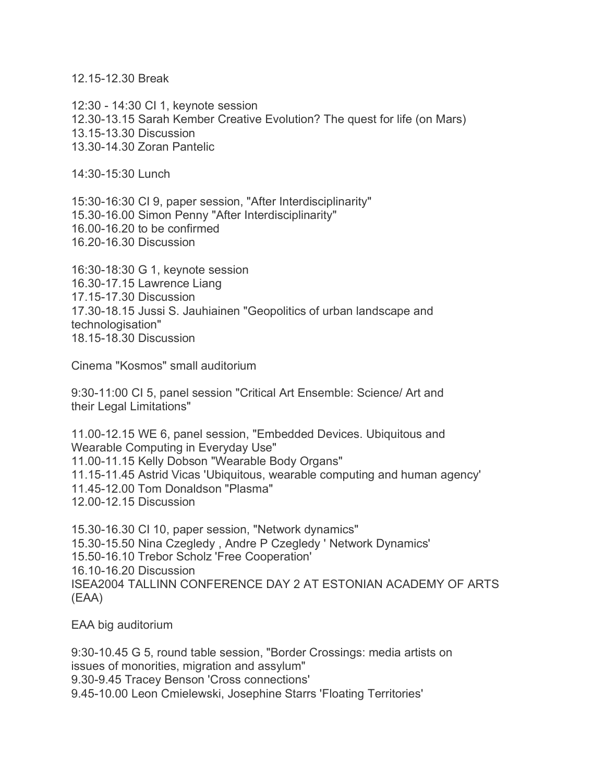12.15-12.30 Break

12:30 - 14:30 CI 1, keynote session 12.30-13.15 Sarah Kember Creative Evolution? The quest for life (on Mars) 13.15-13.30 Discussion 13.30-14.30 Zoran Pantelic

14:30-15:30 Lunch

15:30-16:30 CI 9, paper session, "After Interdisciplinarity" 15.30-16.00 Simon Penny "After Interdisciplinarity" 16.00-16.20 to be confirmed 16.20-16.30 Discussion

16:30-18:30 G 1, keynote session 16.30-17.15 Lawrence Liang 17.15-17.30 Discussion 17.30-18.15 Jussi S. Jauhiainen "Geopolitics of urban landscape and technologisation" 18.15-18.30 Discussion

Cinema "Kosmos" small auditorium

9:30-11:00 CI 5, panel session "Critical Art Ensemble: Science/ Art and their Legal Limitations"

11.00-12.15 WE 6, panel session, "Embedded Devices. Ubiquitous and Wearable Computing in Everyday Use" 11.00-11.15 Kelly Dobson "Wearable Body Organs" 11.15-11.45 Astrid Vicas 'Ubiquitous, wearable computing and human agency' 11.45-12.00 Tom Donaldson "Plasma" 12.00-12.15 Discussion

15.30-16.30 CI 10, paper session, "Network dynamics" 15.30-15.50 Nina Czegledy , Andre P Czegledy ' Network Dynamics' 15.50-16.10 Trebor Scholz 'Free Cooperation' 16.10-16.20 Discussion ISEA2004 TALLINN CONFERENCE DAY 2 AT ESTONIAN ACADEMY OF ARTS (EAA)

EAA big auditorium

9:30-10.45 G 5, round table session, "Border Crossings: media artists on issues of monorities, migration and assylum" 9.30-9.45 Tracey Benson 'Cross connections' 9.45-10.00 Leon Cmielewski, Josephine Starrs 'Floating Territories'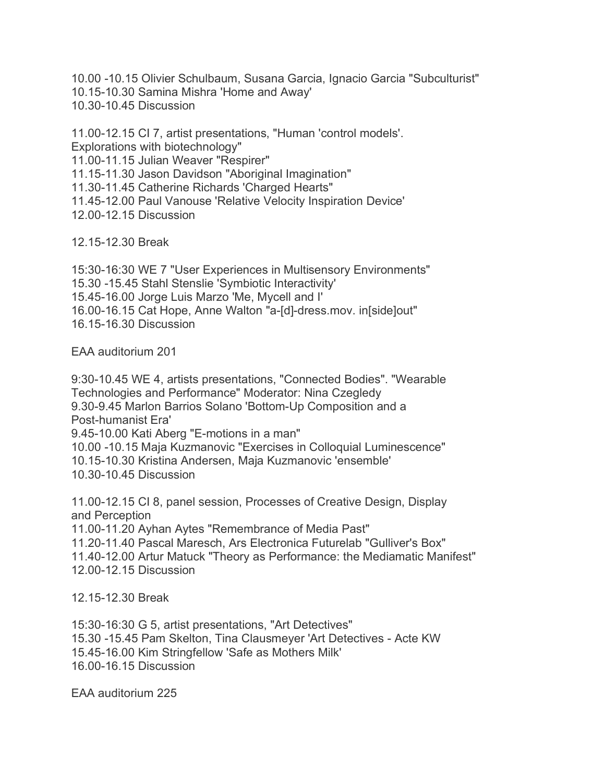10.00 -10.15 Olivier Schulbaum, Susana Garcia, Ignacio Garcia "Subculturist" 10.15-10.30 Samina Mishra 'Home and Away'

10.30-10.45 Discussion

11.00-12.15 CI 7, artist presentations, "Human 'control models'. Explorations with biotechnology" 11.00-11.15 Julian Weaver "Respirer" 11.15-11.30 Jason Davidson "Aboriginal Imagination" 11.30-11.45 Catherine Richards 'Charged Hearts" 11.45-12.00 Paul Vanouse 'Relative Velocity Inspiration Device' 12.00-12.15 Discussion

12.15-12.30 Break

15:30-16:30 WE 7 "User Experiences in Multisensory Environments" 15.30 -15.45 Stahl Stenslie 'Symbiotic Interactivity' 15.45-16.00 Jorge Luis Marzo 'Me, Mycell and I' 16.00-16.15 Cat Hope, Anne Walton "a-[d]-dress.mov. in[side]out" 16.15-16.30 Discussion

EAA auditorium 201

9:30-10.45 WE 4, artists presentations, "Connected Bodies". "Wearable Technologies and Performance" Moderator: Nina Czegledy 9.30-9.45 Marlon Barrios Solano 'Bottom-Up Composition and a Post-humanist Era' 9.45-10.00 Kati Aberg "E-motions in a man" 10.00 -10.15 Maja Kuzmanovic "Exercises in Colloquial Luminescence" 10.15-10.30 Kristina Andersen, Maja Kuzmanovic 'ensemble' 10.30-10.45 Discussion

11.00-12.15 CI 8, panel session, Processes of Creative Design, Display and Perception 11.00-11.20 Ayhan Aytes "Remembrance of Media Past" 11.20-11.40 Pascal Maresch, Ars Electronica Futurelab "Gulliver's Box" 11.40-12.00 Artur Matuck "Theory as Performance: the Mediamatic Manifest" 12.00-12.15 Discussion

12.15-12.30 Break

15:30-16:30 G 5, artist presentations, "Art Detectives" 15.30 -15.45 Pam Skelton, Tina Clausmeyer 'Art Detectives - Acte KW 15.45-16.00 Kim Stringfellow 'Safe as Mothers Milk' 16.00-16.15 Discussion

EAA auditorium 225